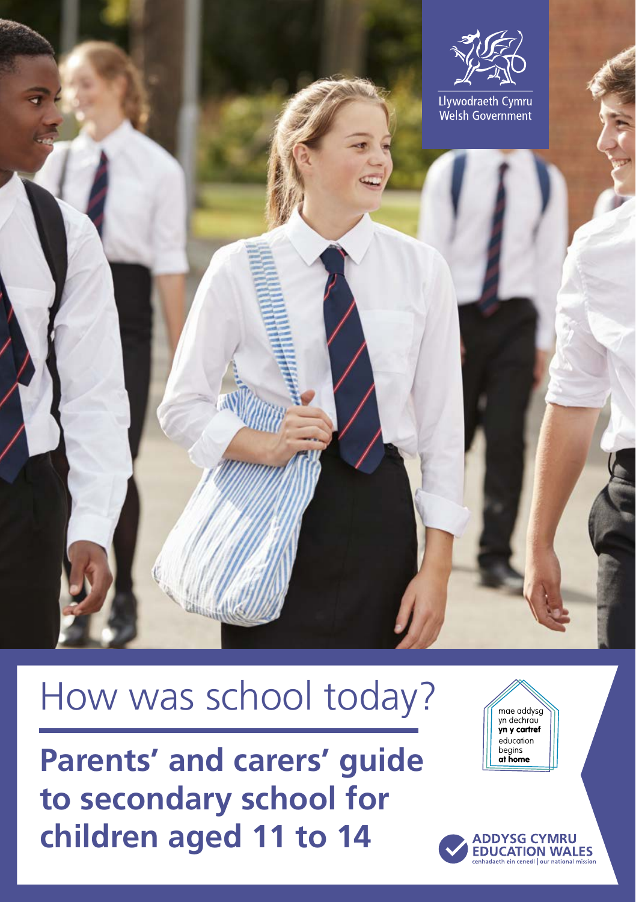

# How was school today?

**Parents' and carers' guide to secondary school for children aged 11 to 14**

mae addysg<br>yn dechrau<br>**yn y cartref** education begins<br>at home

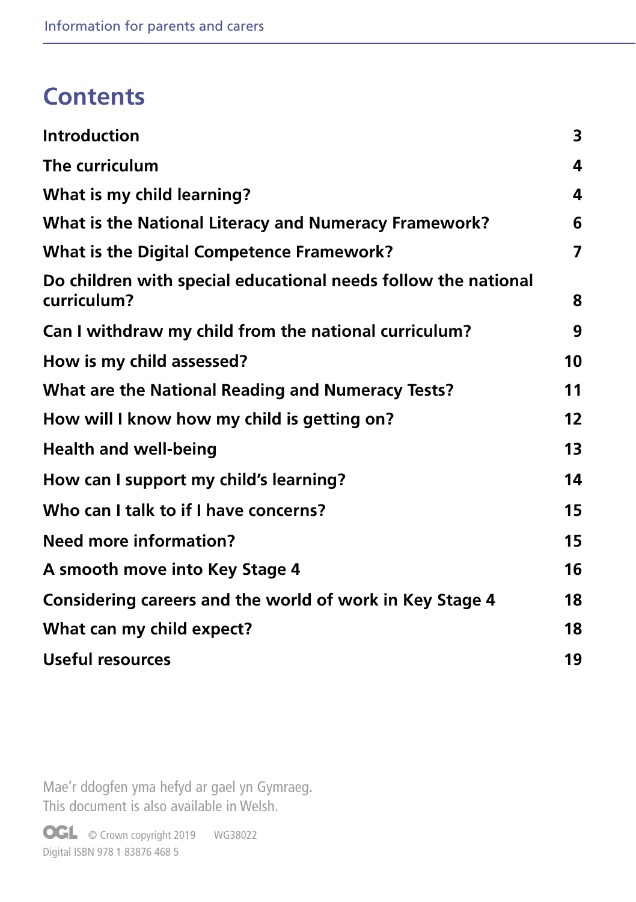# **Contents**

| <b>Introduction</b>                                                           | 3              |
|-------------------------------------------------------------------------------|----------------|
| The curriculum                                                                | 4              |
| What is my child learning?                                                    | 4              |
| What is the National Literacy and Numeracy Framework?                         | 6              |
| <b>What is the Digital Competence Framework?</b>                              | $\overline{7}$ |
| Do children with special educational needs follow the national<br>curriculum? | 8              |
| Can I withdraw my child from the national curriculum?                         | 9              |
| How is my child assessed?                                                     | 10             |
| <b>What are the National Reading and Numeracy Tests?</b>                      | 11             |
| How will I know how my child is getting on?                                   | 12             |
| <b>Health and well-being</b>                                                  | 13             |
| How can I support my child's learning?                                        | 14             |
| Who can I talk to if I have concerns?                                         | 15             |
| <b>Need more information?</b>                                                 | 15             |
| A smooth move into Key Stage 4                                                | 16             |
| Considering careers and the world of work in Key Stage 4                      | 18             |
| What can my child expect?                                                     | 18             |
| <b>Useful resources</b>                                                       | 19             |

Mae'r ddogfen yma hefyd ar gael yn Gymraeg. This document is also available in Welsh.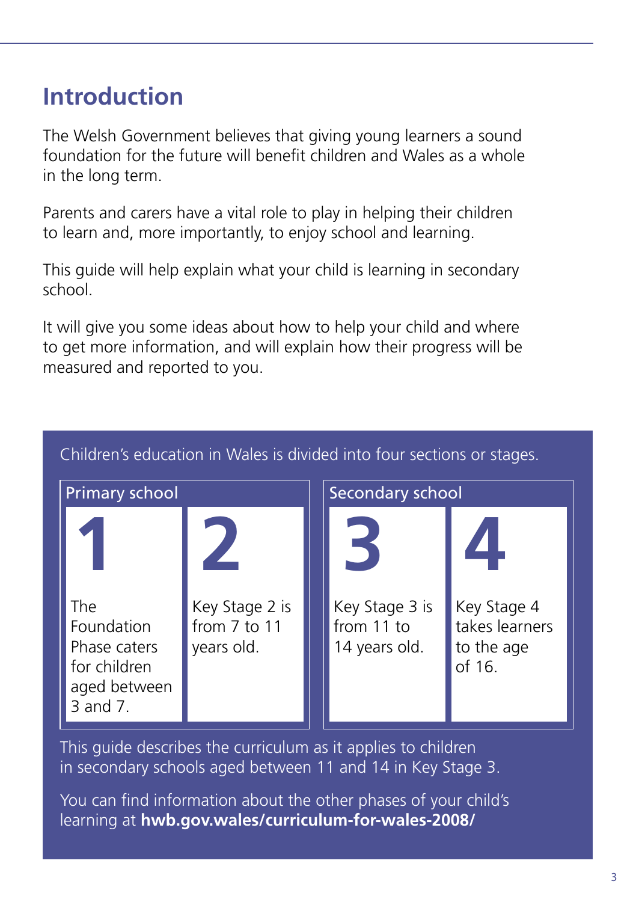# **Introduction**

The Welsh Government believes that giving young learners a sound foundation for the future will benefit children and Wales as a whole in the long term.

Parents and carers have a vital role to play in helping their children to learn and, more importantly, to enjoy school and learning.

This guide will help explain what your child is learning in secondary school.

It will give you some ideas about how to help your child and where to get more information, and will explain how their progress will be measured and reported to you.

| <b>Primary school</b>                                                  |                            | <b>Secondary school</b> |                             |                                        |
|------------------------------------------------------------------------|----------------------------|-------------------------|-----------------------------|----------------------------------------|
| The                                                                    | Key Stage 2 is             |                         | Key Stage 3 is              | Key Stage 4                            |
| Foundation<br>Phase caters<br>for children<br>aged between<br>3 and 7. | from 7 to 11<br>years old. |                         | from 11 to<br>14 years old. | takes learners<br>to the age<br>of 16. |

#### Children's education in Wales is divided into four sections or stages.

This guide describes the curriculum as it applies to children in secondary schools aged between 11 and 14 in Key Stage 3.

You can find information about the other phases of your child's learning at **[hwb.gov.wales/curriculum-for-wales-2008/](http://hwb.gov.wales/curriculum-for-wales-2008/)**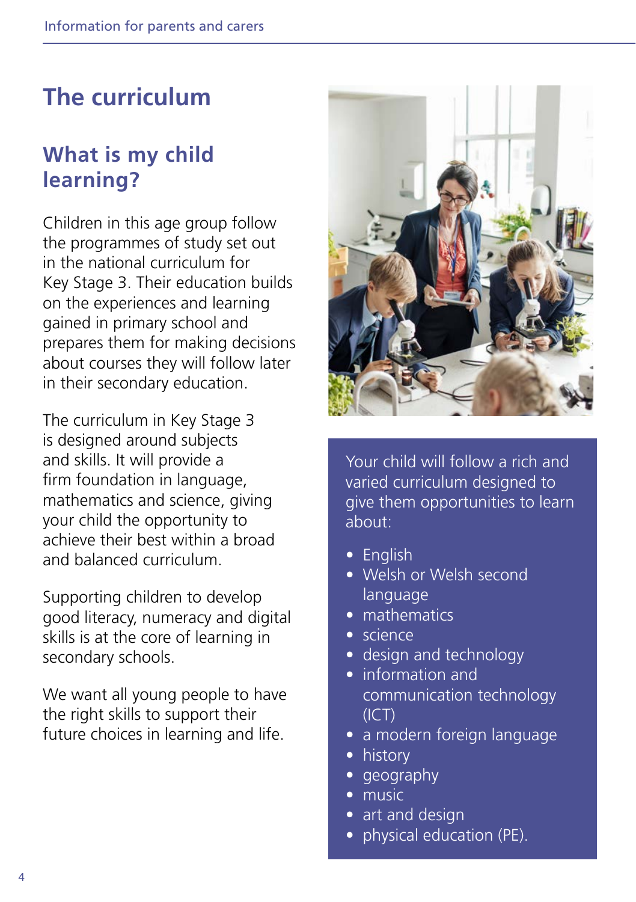# **The curriculum**

# **What is my child learning?**

Children in this age group follow the programmes of study set out in the national curriculum for Key Stage 3. Their education builds on the experiences and learning gained in primary school and prepares them for making decisions about courses they will follow later in their secondary education.

The curriculum in Key Stage 3 is designed around subjects and skills. It will provide a firm foundation in language, mathematics and science, giving your child the opportunity to achieve their best within a broad and balanced curriculum.

Supporting children to develop good literacy, numeracy and digital skills is at the core of learning in secondary schools.

We want all young people to have the right skills to support their future choices in learning and life.



Your child will follow a rich and varied curriculum designed to give them opportunities to learn about:

- English
- Welsh or Welsh second language
- mathematics
- science
- design and technology
- information and communication technology  $(ICT)$
- a modern foreign language
- history
- geography
- music
- art and design
- physical education (PE).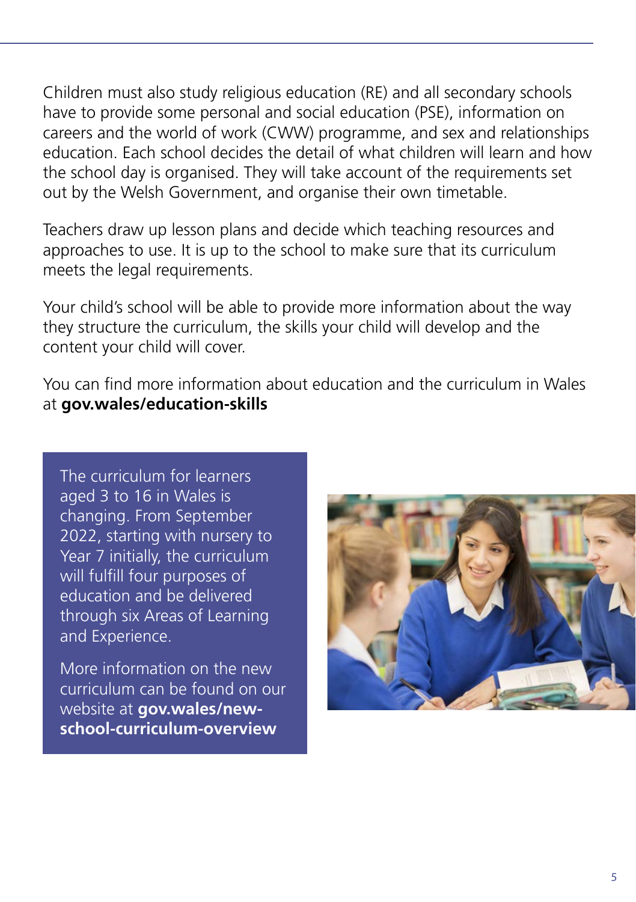Children must also study religious education (RE) and all secondary schools have to provide some personal and social education (PSE), information on careers and the world of work (CWW) programme, and sex and relationships education. Each school decides the detail of what children will learn and how the school day is organised. They will take account of the requirements set out by the Welsh Government, and organise their own timetable.

Teachers draw up lesson plans and decide which teaching resources and approaches to use. It is up to the school to make sure that its curriculum meets the legal requirements.

Your child's school will be able to provide more information about the way they structure the curriculum, the skills your child will develop and the content your child will cover.

You can find more information about education and the curriculum in Wales at **[gov.wales/education-skills](http://gov.wales/education-skills)**

The curriculum for learners aged 3 to 16 in Wales is changing. From September 2022, starting with nursery to Year 7 initially, the curriculum will fulfill four purposes of education and be delivered through six Areas of Learning and Experience.

More information on the new curriculum can be found on our website at **[gov.wales/new](http://gov.wales/new-school-curriculum-overview)[school-curriculum-overview](http://gov.wales/new-school-curriculum-overview)**

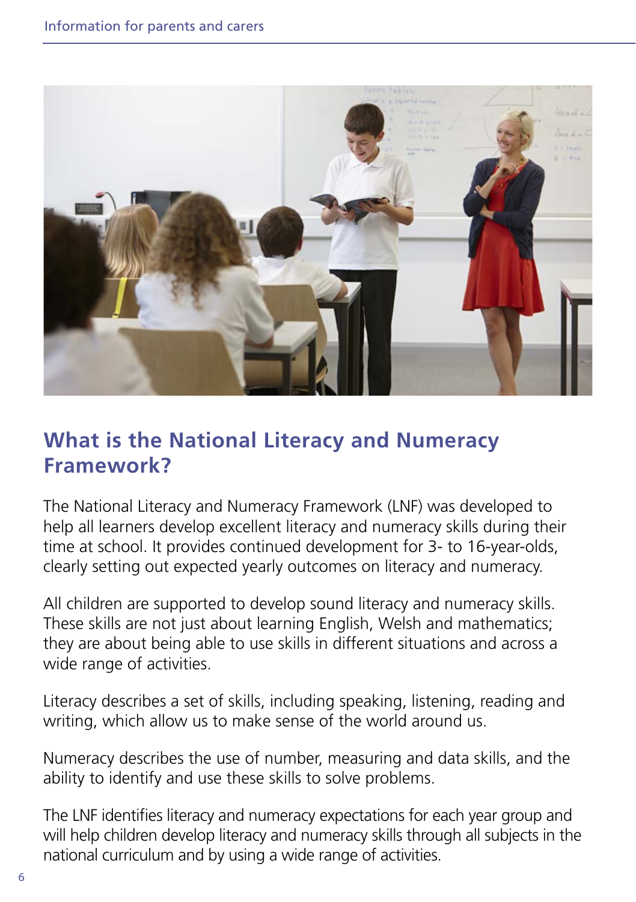

# **What is the National Literacy and Numeracy Framework?**

The National Literacy and Numeracy Framework (LNF) was developed to help all learners develop excellent literacy and numeracy skills during their time at school. It provides continued development for 3- to 16-year-olds, clearly setting out expected yearly outcomes on literacy and numeracy.

All children are supported to develop sound literacy and numeracy skills. These skills are not just about learning English, Welsh and mathematics; they are about being able to use skills in different situations and across a wide range of activities.

Literacy describes a set of skills, including speaking, listening, reading and writing, which allow us to make sense of the world around us.

Numeracy describes the use of number, measuring and data skills, and the ability to identify and use these skills to solve problems.

The LNF identifies literacy and numeracy expectations for each year group and will help children develop literacy and numeracy skills through all subjects in the national curriculum and by using a wide range of activities.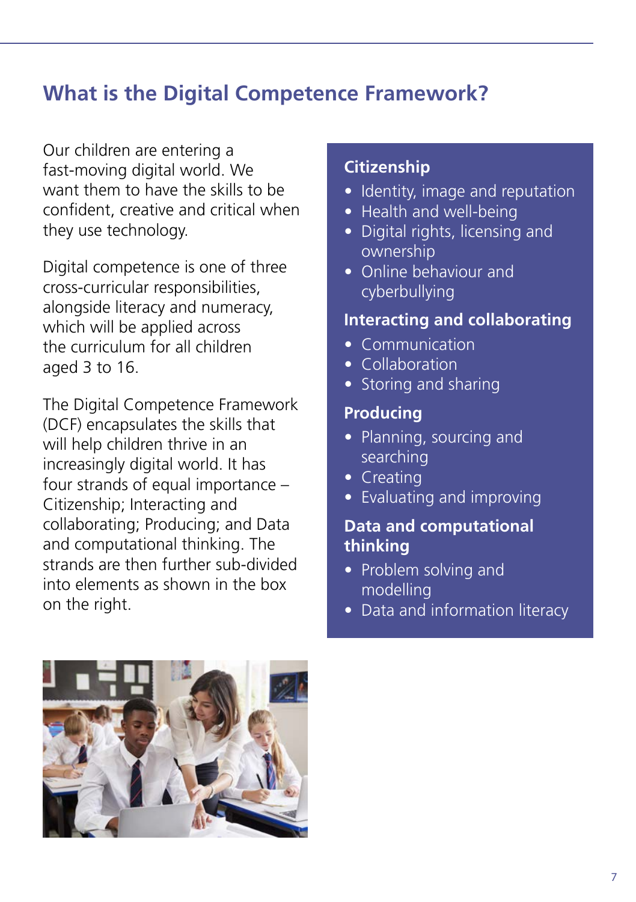# **What is the Digital Competence Framework?**

Our children are entering a fast-moving digital world. We want them to have the skills to be confident, creative and critical when they use technology.

Digital competence is one of three cross-curricular responsibilities, alongside literacy and numeracy, which will be applied across the curriculum for all children aged  $3$  to  $16$ .

The Digital Competence Framework (DCF) encapsulates the skills that will help children thrive in an increasingly digital world. It has four strands of equal importance – Citizenship; Interacting and collaborating; Producing; and Data and computational thinking. The strands are then further sub-divided into elements as shown in the box on the right.

#### **Citizenship**

- Identity, image and reputation
- Health and well-being
- Digital rights, licensing and ownership
- Online behaviour and cyberbullying

#### **Interacting and collaborating**

- Communication
- Collaboration
- Storing and sharing

#### **Producing**

- Planning, sourcing and searching
- Creating
- Evaluating and improving

#### **Data and computational thinking**

- Problem solving and modelling
- Data and information literacy

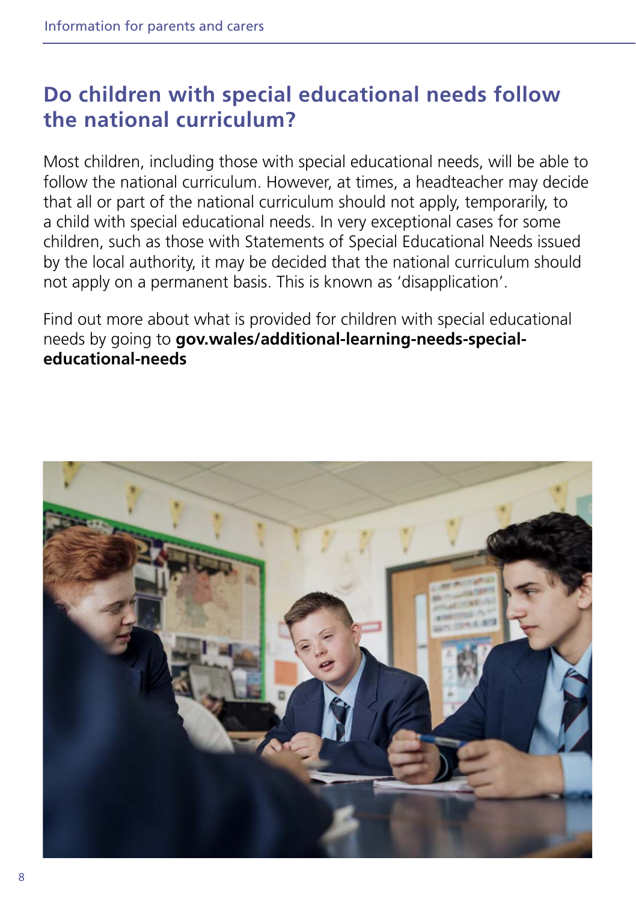# **Do children with special educational needs follow the national curriculum?**

Most children, including those with special educational needs, will be able to follow the national curriculum. However, at times, a headteacher may decide that all or part of the national curriculum should not apply, temporarily, to a child with special educational needs. In very exceptional cases for some children, such as those with Statements of Special Educational Needs issued by the local authority, it may be decided that the national curriculum should not apply on a permanent basis. This is known as 'disapplication'.

Find out more about what is provided for children with special educational needs by going to **[gov.wales/additional-learning-needs-special](http://gov.wales/additional-learning-needs-special-educational-needs)[educational-needs](http://gov.wales/additional-learning-needs-special-educational-needs)**

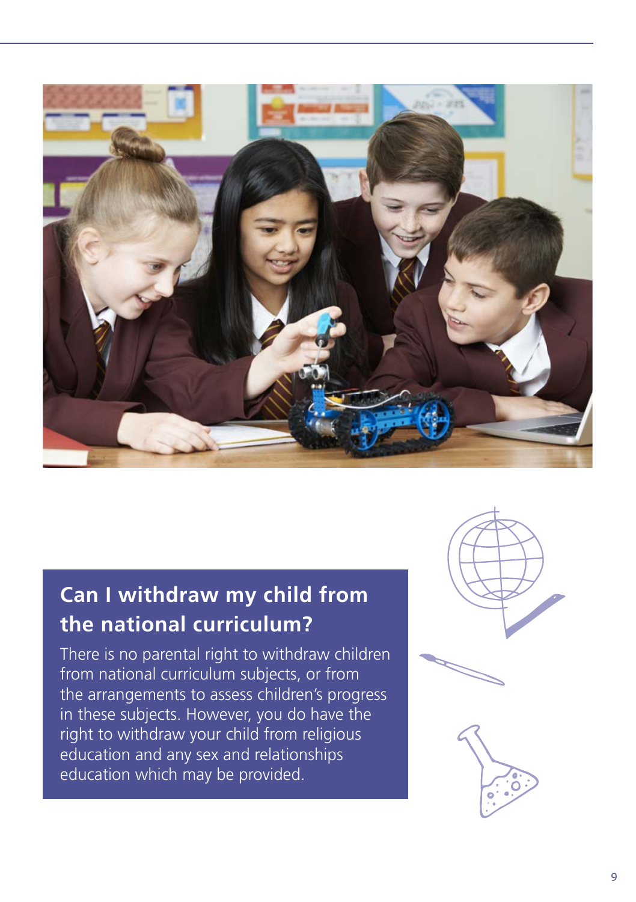

# **Can I withdraw my child from the national curriculum?**

There is no parental right to withdraw children from national curriculum subjects, or from the arrangements to assess children's progress in these subjects. However, you do have the right to withdraw your child from religious education and any sex and relationships education which may be provided.





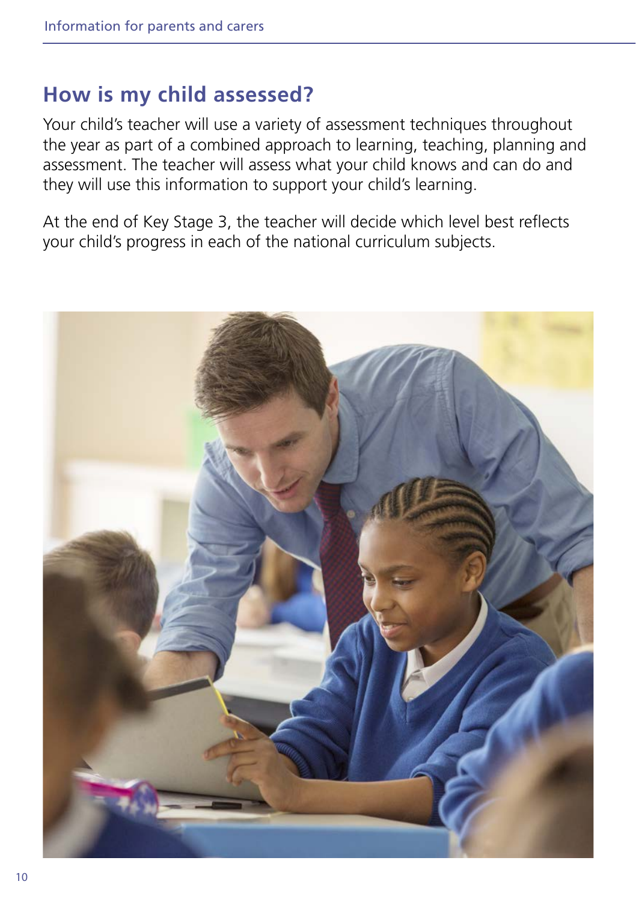## **How is my child assessed?**

Your child's teacher will use a variety of assessment techniques throughout the year as part of a combined approach to learning, teaching, planning and assessment. The teacher will assess what your child knows and can do and they will use this information to support your child's learning.

At the end of Key Stage 3, the teacher will decide which level best reflects your child's progress in each of the national curriculum subjects.

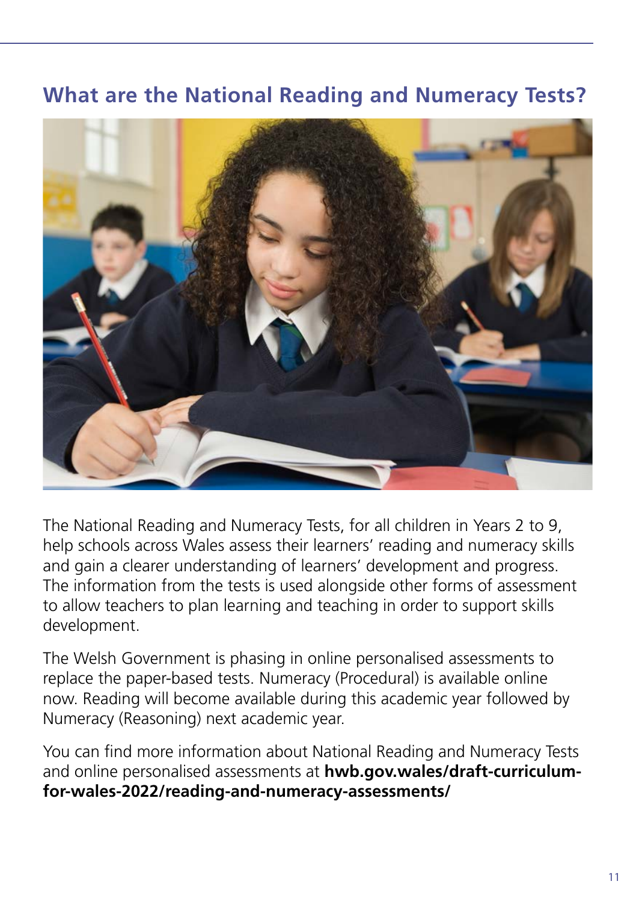# **What are the National Reading and Numeracy Tests?**



The National Reading and Numeracy Tests, for all children in Years 2 to 9, help schools across Wales assess their learners' reading and numeracy skills and gain a clearer understanding of learners' development and progress. The information from the tests is used alongside other forms of assessment to allow teachers to plan learning and teaching in order to support skills development.

The Welsh Government is phasing in online personalised assessments to replace the paper-based tests. Numeracy (Procedural) is available online now. Reading will become available during this academic year followed by Numeracy (Reasoning) next academic year.

You can find more information about National Reading and Numeracy Tests and online personalised assessments at **[hwb.gov.wales/draft-curriculum](http://hwb.gov.wales/draft-curriculum-for-wales-2022/reading-and-numeracy-assessments/)[for-wales-2022/reading-and-numeracy-assessments/](http://hwb.gov.wales/draft-curriculum-for-wales-2022/reading-and-numeracy-assessments/)**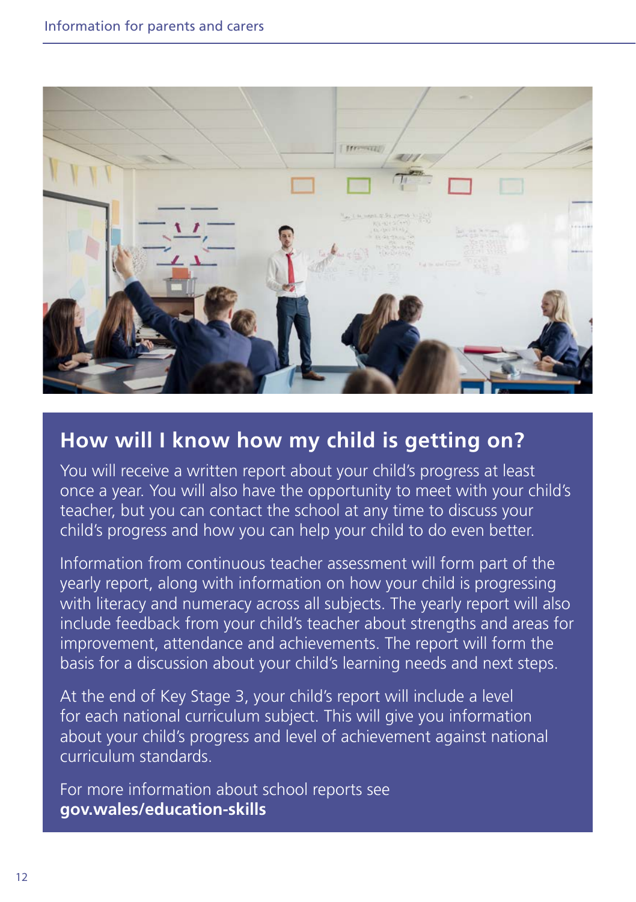

### **How will I know how my child is getting on?**

You will receive a written report about your child's progress at least once a year. You will also have the opportunity to meet with your child's teacher, but you can contact the school at any time to discuss your child's progress and how you can help your child to do even better.

Information from continuous teacher assessment will form part of the yearly report, along with information on how your child is progressing with literacy and numeracy across all subjects. The yearly report will also include feedback from your child's teacher about strengths and areas for improvement, attendance and achievements. The report will form the basis for a discussion about your child's learning needs and next steps.

At the end of Key Stage 3, your child's report will include a level for each national curriculum subject. This will give you information about your child's progress and level of achievement against national curriculum standards.

For more information about school reports see **[gov.wales/education-skills](http://gov.wales/education-skills)**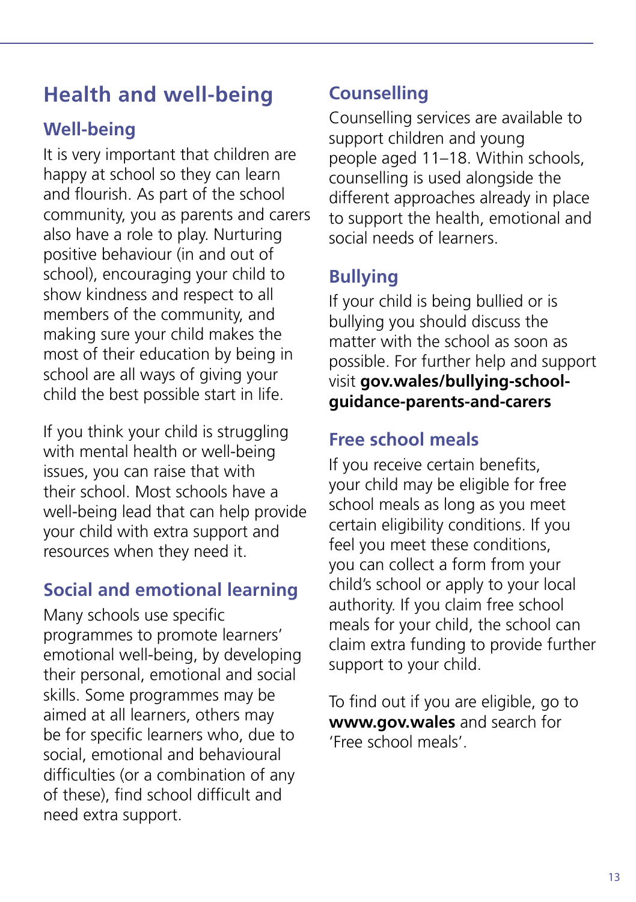# **Health and well-being**

# **Well-being**

It is very important that children are happy at school so they can learn and flourish. As part of the school community, you as parents and carers also have a role to play. Nurturing positive behaviour (in and out of school), encouraging your child to show kindness and respect to all members of the community, and making sure your child makes the most of their education by being in school are all ways of giving your child the best possible start in life.

If you think your child is struggling with mental health or well-being issues, you can raise that with their school. Most schools have a well-being lead that can help provide your child with extra support and resources when they need it.

## **Social and emotional learning**

Many schools use specific programmes to promote learners' emotional well-being, by developing their personal, emotional and social skills. Some programmes may be aimed at all learners, others may be for specific learners who, due to social, emotional and behavioural difficulties (or a combination of any of these), find school difficult and need extra support.

# **Counselling**

Counselling services are available to support children and young people aged 11–18. Within schools, counselling is used alongside the different approaches already in place to support the health, emotional and social needs of learners.

## **Bullying**

If your child is being bullied or is bullying you should discuss the matter with the school as soon as possible. For further help and support visit **[gov.wales/bullying-school](http://gov.wales/bullying-school-guidance-parents-and-carers)[guidance-parents-and-carers](http://gov.wales/bullying-school-guidance-parents-and-carers)**

# **Free school meals**

If you receive certain benefits, your child may be eligible for free school meals as long as you meet certain eligibility conditions. If you feel you meet these conditions, you can collect a form from your child's school or apply to your local authority. If you claim free school meals for your child, the school can claim extra funding to provide further support to your child.

To find out if you are eligible, go to **[www.gov.wales](http://www.gov.wales)** and search for 'Free school meals'.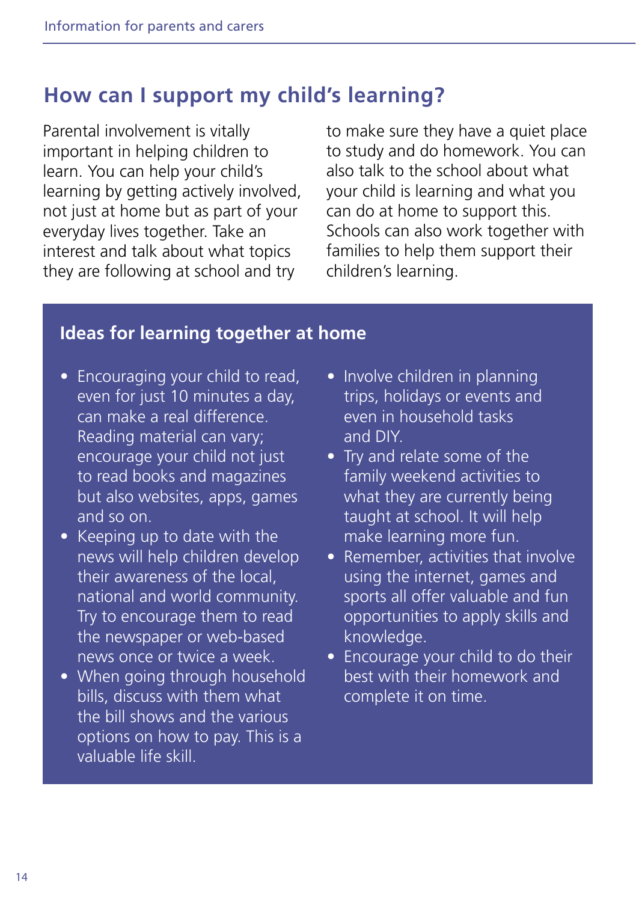# **How can I support my child's learning?**

Parental involvement is vitally important in helping children to learn. You can help your child's learning by getting actively involved, not just at home but as part of your everyday lives together. Take an interest and talk about what topics they are following at school and try

to make sure they have a quiet place to study and do homework. You can also talk to the school about what your child is learning and what you can do at home to support this. Schools can also work together with families to help them support their children's learning.

#### **Ideas for learning together at home**

- Encouraging your child to read, even for just 10 minutes a day, can make a real difference. Reading material can vary; encourage your child not just to read books and magazines but also websites, apps, games and so on.
- Keeping up to date with the news will help children develop their awareness of the local, national and world community. Try to encourage them to read the newspaper or web-based news once or twice a week.
- When going through household bills, discuss with them what the bill shows and the various options on how to pay. This is a valuable life skill.
- Involve children in planning trips, holidays or events and even in household tasks and DIY.
- Try and relate some of the family weekend activities to what they are currently being taught at school. It will help make learning more fun.
- Remember, activities that involve using the internet, games and sports all offer valuable and fun opportunities to apply skills and knowledge.
- Encourage your child to do their best with their homework and complete it on time.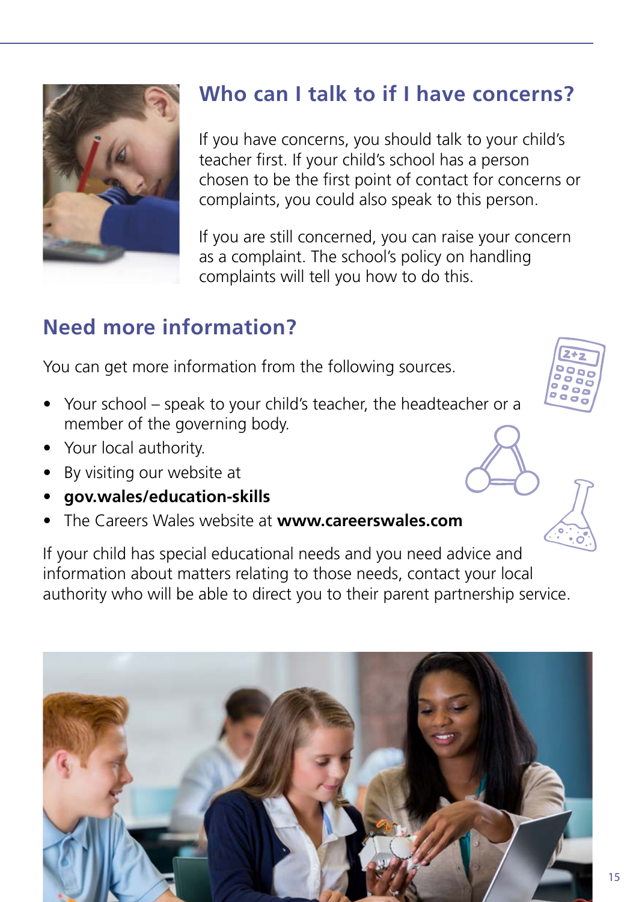

# **Who can I talk to if I have concerns?**

If you have concerns, you should talk to your child's teacher first. If your child's school has a person chosen to be the first point of contact for concerns or complaints, you could also speak to this person.

If you are still concerned, you can raise your concern as a complaint. The school's policy on handling complaints will tell you how to do this.

# **Need more information?**

You can get more information from the following sources.

- Your school speak to your child's teacher, the headteacher or a member of the governing body.
- Your local authority.
- By visiting our website at
- **[gov.wales/education-skills](http://gov.wales/education-skills)**
- The Careers Wales website at **[www.careerswales.com](http://www.careerswales.com)**

If your child has special educational needs and you need advice and information about matters relating to those needs, contact your local authority who will be able to direct you to their parent partnership service.



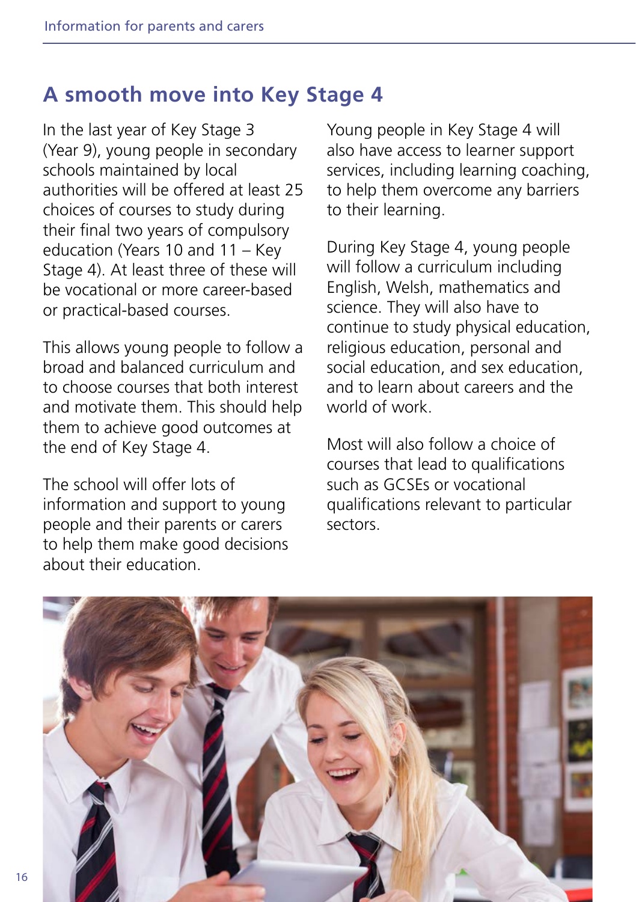#### **A smooth move into Key Stage 4**

In the last year of Key Stage 3 (Year 9), young people in secondary schools maintained by local authorities will be offered at least 25 choices of courses to study during their final two years of compulsory education (Years 10 and 11 – Key Stage 4). At least three of these will be vocational or more career-based or practical-based courses.

This allows young people to follow a broad and balanced curriculum and to choose courses that both interest and motivate them. This should help them to achieve good outcomes at the end of Key Stage 4.

The school will offer lots of information and support to young people and their parents or carers to help them make good decisions about their education.

Young people in Key Stage 4 will also have access to learner support services, including learning coaching, to help them overcome any barriers to their learning.

During Key Stage 4, young people will follow a curriculum including English, Welsh, mathematics and science. They will also have to continue to study physical education, religious education, personal and social education, and sex education, and to learn about careers and the world of work.

Most will also follow a choice of courses that lead to qualifications such as GCSEs or vocational qualifications relevant to particular sectors.

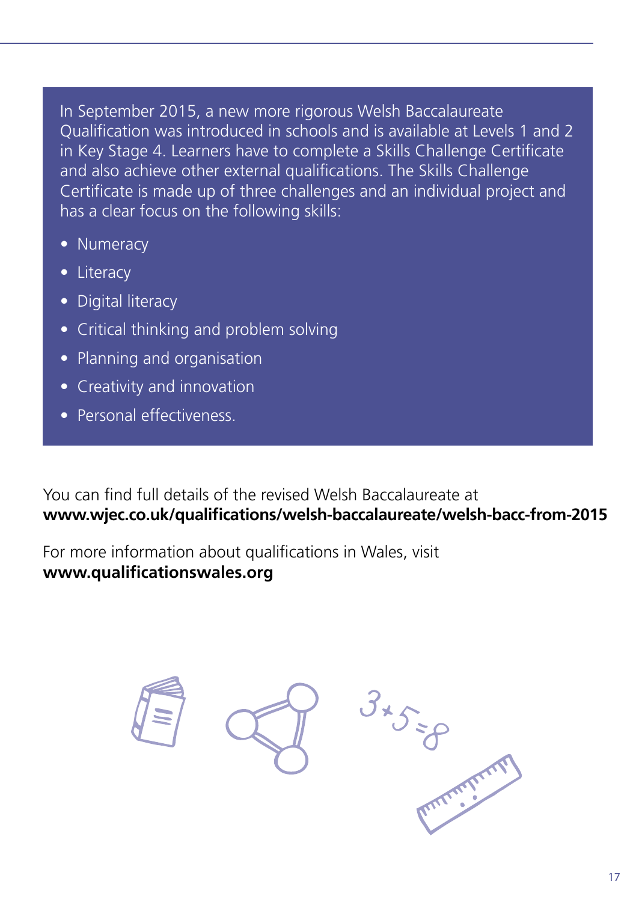In September 2015, a new more rigorous Welsh Baccalaureate Qualification was introduced in schools and is available at Levels 1 and 2 in Key Stage 4. Learners have to complete a Skills Challenge Certificate and also achieve other external qualifications. The Skills Challenge Certificate is made up of three challenges and an individual project and has a clear focus on the following skills:

- Numeracy
- Literacy
- Digital literacy
- Critical thinking and problem solving
- Planning and organisation
- Creativity and innovation
- Personal effectiveness.

You can find full details of the revised Welsh Baccalaureate at **[www.wjec.co.uk/qualifications/welsh-baccalaureate/welsh-bacc-from-2015](http://www.wjec.co.uk/qualifications/welsh-baccalaureate/welsh-bacc-from-2015/)**

For more information about qualifications in Wales, visit **[www.qualificationswales.org](http://www.qualificationswales.org)**

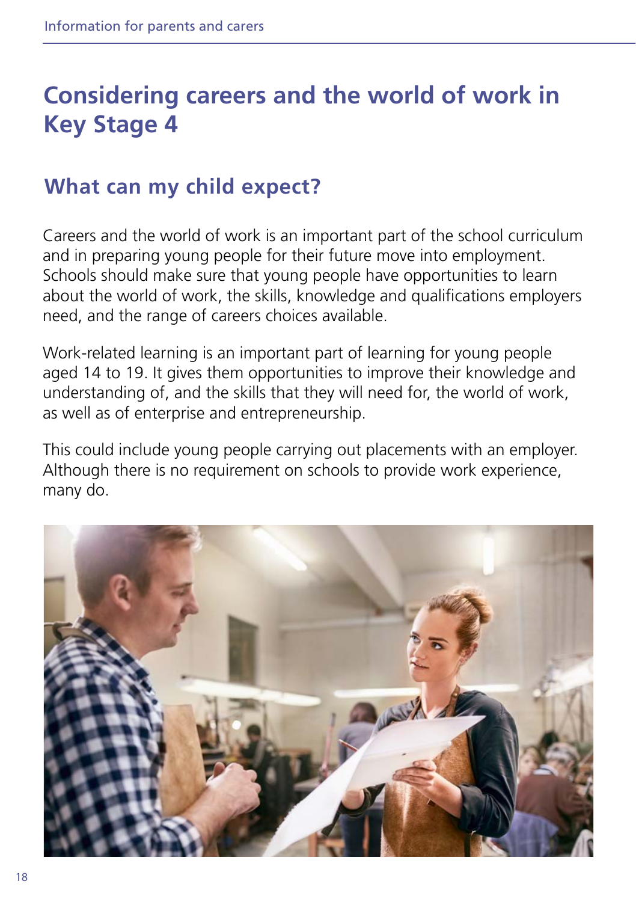# **Considering careers and the world of work in Key Stage 4**

# **What can my child expect?**

Careers and the world of work is an important part of the school curriculum and in preparing young people for their future move into employment. Schools should make sure that young people have opportunities to learn about the world of work, the skills, knowledge and qualifications employers need, and the range of careers choices available.

Work-related learning is an important part of learning for young people aged 14 to 19. It gives them opportunities to improve their knowledge and understanding of, and the skills that they will need for, the world of work, as well as of enterprise and entrepreneurship.

This could include young people carrying out placements with an employer. Although there is no requirement on schools to provide work experience, many do.

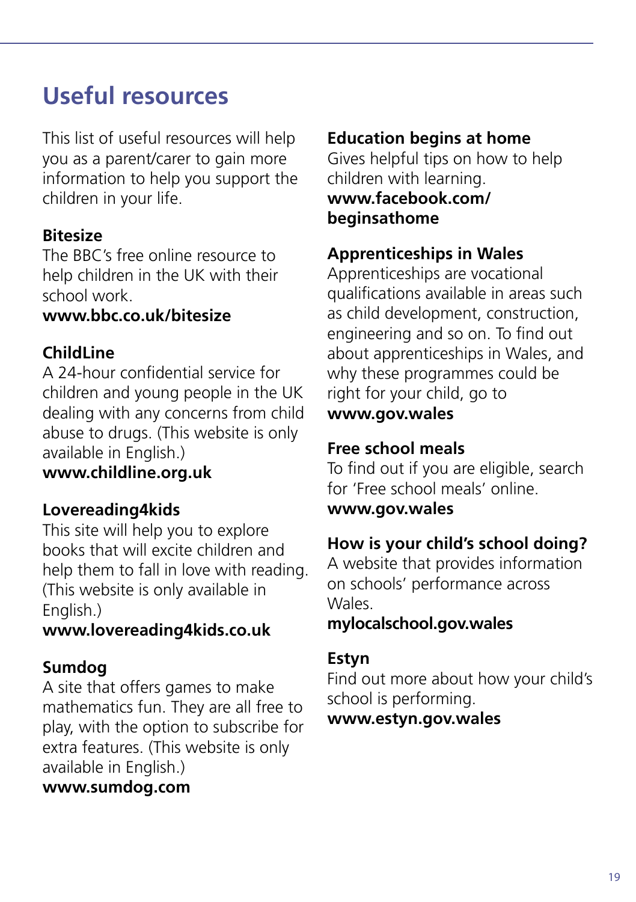# **Useful resources**

This list of useful resources will help you as a parent/carer to gain more information to help you support the children in your life.

#### **Bitesize**

The BBC's free online resource to help children in the UK with their school work.

#### **[www.bbc.co.uk/bitesize](http://www.bbc.co.uk/bitesize)**

#### **ChildLine**

A 24-hour confidential service for children and young people in the UK dealing with any concerns from child abuse to drugs. (This website is only available in English.)

**[www.childline.org.uk](http://www.childline.org.uk)**

#### **Lovereading4kids**

This site will help you to explore books that will excite children and help them to fall in love with reading. (This website is only available in English.)

#### **[www.lovereading4kids.co.uk](http://www.lovereading4kids.co.uk)**

#### **Sumdog**

A site that offers games to make mathematics fun. They are all free to play, with the option to subscribe for extra features. (This website is only available in English.)

#### **[www.sumdog.com](http://www.sumdog.com)**

#### **Education begins at home**

Gives helpful tips on how to help children with learning. **[www.facebook.com/](http://www.facebook.com/beginsathome) [beginsathome](http://www.facebook.com/beginsathome)**

#### **Apprenticeships in Wales**

Apprenticeships are vocational qualifications available in areas such as child development, construction, engineering and so on. To find out about apprenticeships in Wales, and why these programmes could be right for your child, go to **[www.gov.wales](http://www.gov.wales)**

#### **Free school meals**

To find out if you are eligible, search for 'Free school meals' online.

#### **[www.gov.wales](http://www.gov.wales)**

#### **How is your child's school doing?**

A website that provides information on schools' performance across Wales.

#### **[mylocalschool.gov.wales](http://mylocalschool.gov.wales)**

#### **Estyn**

Find out more about how your child's school is performing.

#### **[www.estyn.gov.wales](http://www.estyn.gov.wales)**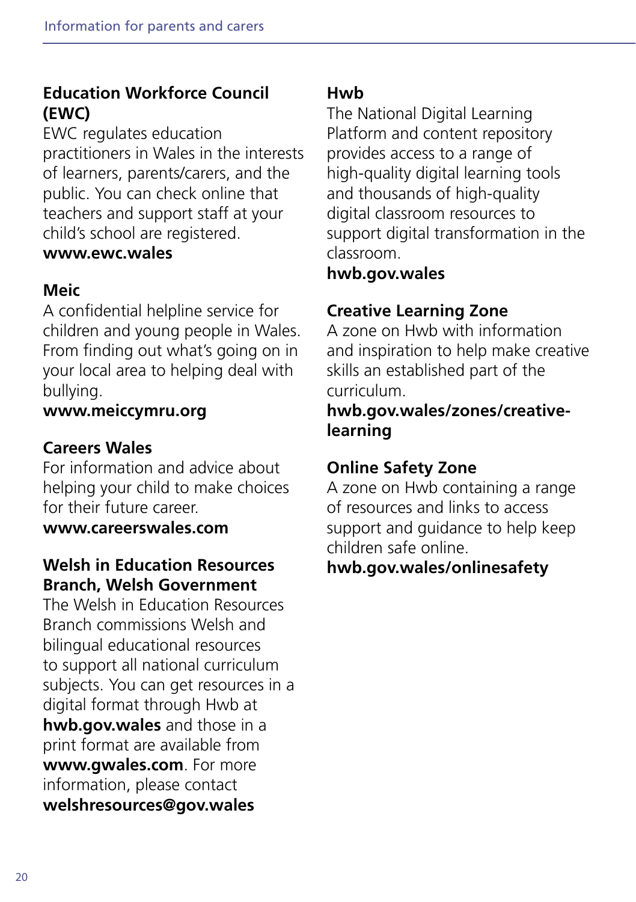#### **Education Workforce Council (EWC)**

EWC regulates education practitioners in Wales in the interests of learners, parents/carers, and the public. You can check online that teachers and support staff at your child's school are registered.

#### **[www.ewc.wales](http://www.ewc.wales)**

#### **Meic**

A confidential helpline service for children and young people in Wales. From finding out what's going on in your local area to helping deal with bullying.

#### **[www.meiccymru.org](http://www.meiccymru.org)**

#### **Careers Wales**

For information and advice about helping your child to make choices for their future career.

**[www.careerswales.com](http://www.careerswales.com)**

#### **Welsh in Education Resources Branch, Welsh Government**

The Welsh in Education Resources Branch commissions Welsh and bilingual educational resources to support all national curriculum subjects. You can get resources in a digital format through Hwb at **[hwb.gov.wales](http://hwb.gov.wales)** and those in a print format are available from **[www.gwales.com](http://www.gwales.com)**. For more information, please contact **[welshresources@gov.wales](mailto:welshresources%40gov.wales?subject=)**

#### **Hwb**

The National Digital Learning Platform and content repository provides access to a range of high-quality digital learning tools and thousands of high-quality digital classroom resources to support digital transformation in the classroom.

#### **[hwb.gov.wales](http://hwb.gov.wales)**

### **Creative Learning Zone**

A zone on Hwb with information and inspiration to help make creative skills an established part of the curriculum.

#### **[hwb.gov.wales/zones/creative](http://hwb.gov.wales/zones/creative-learning)[learning](http://hwb.gov.wales/zones/creative-learning)**

### **Online Safety Zone**

A zone on Hwb containing a range of resources and links to access support and guidance to help keep children safe online.

#### **[hwb.gov.wales/onlinesafety](http://hwb.gov.wales/onlinesafety)**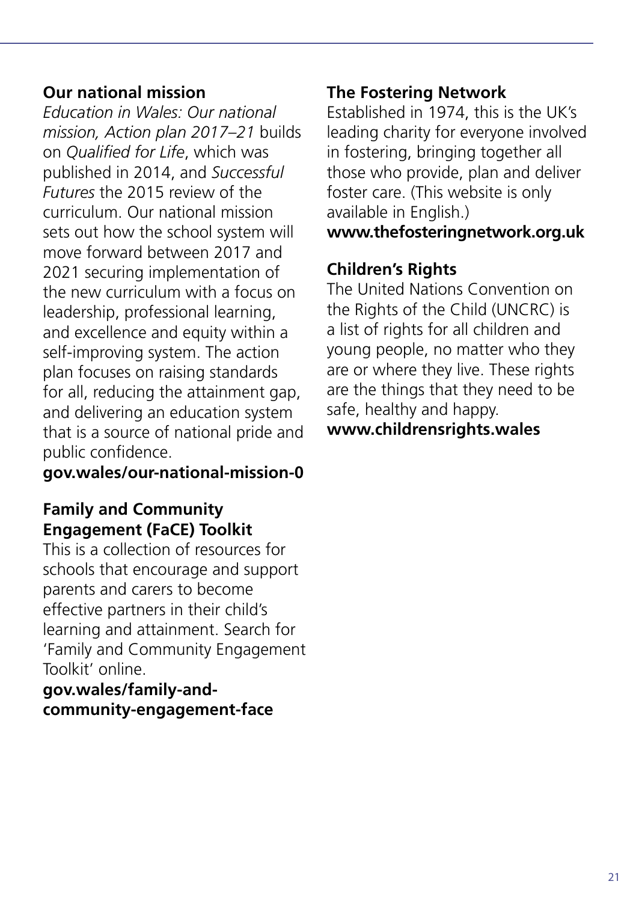#### **Our national mission**

*Education in Wales: Our national mission, Action plan 2017–21* builds on *Qualified for Life*, which was published in 2014, and *Successful Futures* the 2015 review of the curriculum. Our national mission sets out how the school system will move forward between 2017 and 2021 securing implementation of the new curriculum with a focus on leadership, professional learning, and excellence and equity within a self-improving system. The action plan focuses on raising standards for all, reducing the attainment gap, and delivering an education system that is a source of national pride and public confidence.

**[gov.wales/our-national-mission-0](http://gov.wales/our-national-mission-0)**

#### **Family and Community Engagement (FaCE) Toolkit**

This is a collection of resources for schools that encourage and support parents and carers to become effective partners in their child's learning and attainment. Search for 'Family and Community Engagement Toolkit' online.

**[gov.wales/family-and](http://gov.wales/family-and-community-engagement-face)[community-engagement-face](http://gov.wales/family-and-community-engagement-face)**

#### **The Fostering Network**

Established in 1974, this is the UK's leading charity for everyone involved in fostering, bringing together all those who provide, plan and deliver foster care. (This website is only available in English.) **[www.thefosteringnetwork.org.uk](http://www.thefosteringnetwork.org.uk)**

#### **Children's Rights**

The United Nations Convention on the Rights of the Child (UNCRC) is a list of rights for all children and young people, no matter who they are or where they live. These rights are the things that they need to be safe, healthy and happy. **[www.childrensrights.wales](http://www.childrensrights.wales)**